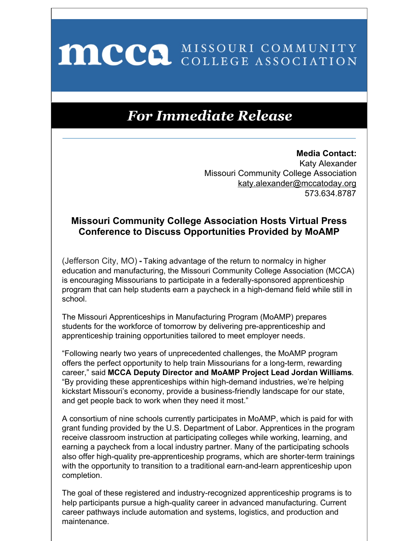## MCCO MISSOURI COMMUNITY

## **For Immediate Release**

**Media Contact:** Katy Alexander Missouri Community College Association katy.alexander@mccatoday.org 573.634.8787

## **Missouri Community College Association Hosts Virtual Press Conference to Discuss Opportunities Provided by MoAMP**

(Jefferson City, MO) **-** Taking advantage of the return to normalcy in higher education and manufacturing, the Missouri Community College Association (MCCA) is encouraging Missourians to participate in a federally-sponsored apprenticeship program that can help students earn a paycheck in a high-demand field while still in school.

The Missouri Apprenticeships in Manufacturing Program (MoAMP) prepares students for the workforce of tomorrow by delivering pre-apprenticeship and apprenticeship training opportunities tailored to meet employer needs.

"Following nearly two years of unprecedented challenges, the MoAMP program offers the perfect opportunity to help train Missourians for a long-term, rewarding career," said **MCCA Deputy Director and MoAMP Project Lead Jordan Williams**. "By providing these apprenticeships within high-demand industries, we're helping kickstart Missouri's economy, provide a business-friendly landscape for our state, and get people back to work when they need it most."

A consortium of nine schools currently participates in MoAMP, which is paid for with grant funding provided by the U.S. Department of Labor. Apprentices in the program receive classroom instruction at participating colleges while working, learning, and earning a paycheck from a local industry partner. Many of the participating schools also offer high-quality pre-apprenticeship programs, which are shorter-term trainings with the opportunity to transition to a traditional earn-and-learn apprenticeship upon completion.

The goal of these registered and industry-recognized apprenticeship programs is to help participants pursue a high-quality career in advanced manufacturing. Current career pathways include automation and systems, logistics, and production and maintenance.